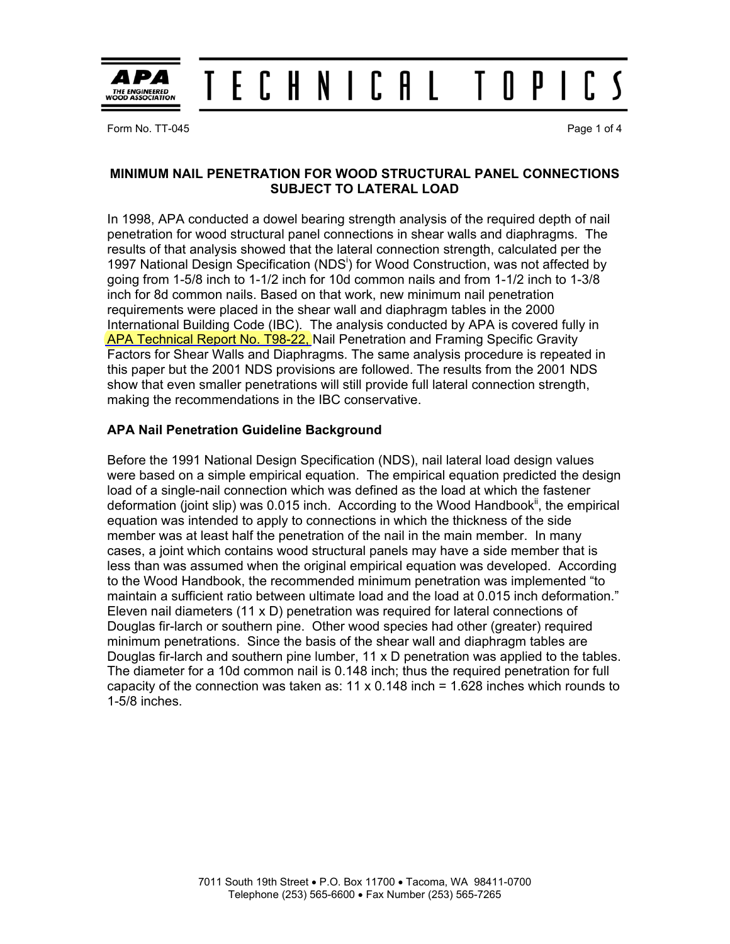

#### T E C H N I C A L  $0P<sub>1</sub>$ ſ.

Form No. TT-045 Page 1 of 4

# **MINIMUM NAIL PENETRATION FOR WOOD STRUCTURAL PANEL CONNECTIONS SUBJECT TO LATERAL LOAD**

In 1998, APA conducted a dowel bearing strength analysis of the required depth of nail penetration for wood structural panel connections in shear walls and diaphragms. The results of that analysis showed that the lateral connection strength, calculated per the 1997 National Design Specification (NDS<sup>i</sup>) for Wood Construction, was not affected by going from 1-5/8 inch to 1-1/2 inch for 10d common nails and from 1-1/2 inch to 1-3/8 inch for 8d common nails. Based on that work, new minimum nail penetration requirements were placed in the shear wall and diaphragm tables in the 2000 International Building Code (IBC). The analysis conducted by APA is covered fully in [APA Technical Report No. T98-22,](http://www.apawood.org/pdfs/tsd/T-Reports/T98-22.pdf) Nail Penetration and Framing Specific Gravity Factors for Shear Walls and Diaphragms. The same analysis procedure is repeated in this paper but the 2001 NDS provisions are followed. The results from the 2001 NDS show that even smaller penetrations will still provide full lateral connection strength, making the recommendations in the IBC conservative.

# **APA Nail Penetration Guideline Background**

Before the 1991 National Design Specification (NDS), nail lateral load design values were based on a simple empirical equation. The empirical equation predicted the design load of a single-nail connection which was defined as the load at which the fastener deformation (joint slip) was 0.015 inch. According to the Wood Handbook<sup>ii</sup>, the empirical equation was intended to apply to connections in which the thickness of the side member was at least half the penetration of the nail in the main member. In many cases, a joint which contains wood structural panels may have a side member that is less than was assumed when the original empirical equation was developed. According to the Wood Handbook, the recommended minimum penetration was implemented "to maintain a sufficient ratio between ultimate load and the load at 0.015 inch deformation." Eleven nail diameters (11 x D) penetration was required for lateral connections of Douglas fir-larch or southern pine. Other wood species had other (greater) required minimum penetrations. Since the basis of the shear wall and diaphragm tables are Douglas fir-larch and southern pine lumber, 11 x D penetration was applied to the tables. The diameter for a 10d common nail is 0.148 inch; thus the required penetration for full capacity of the connection was taken as:  $11 \times 0.148$  inch = 1.628 inches which rounds to 1-5/8 inches.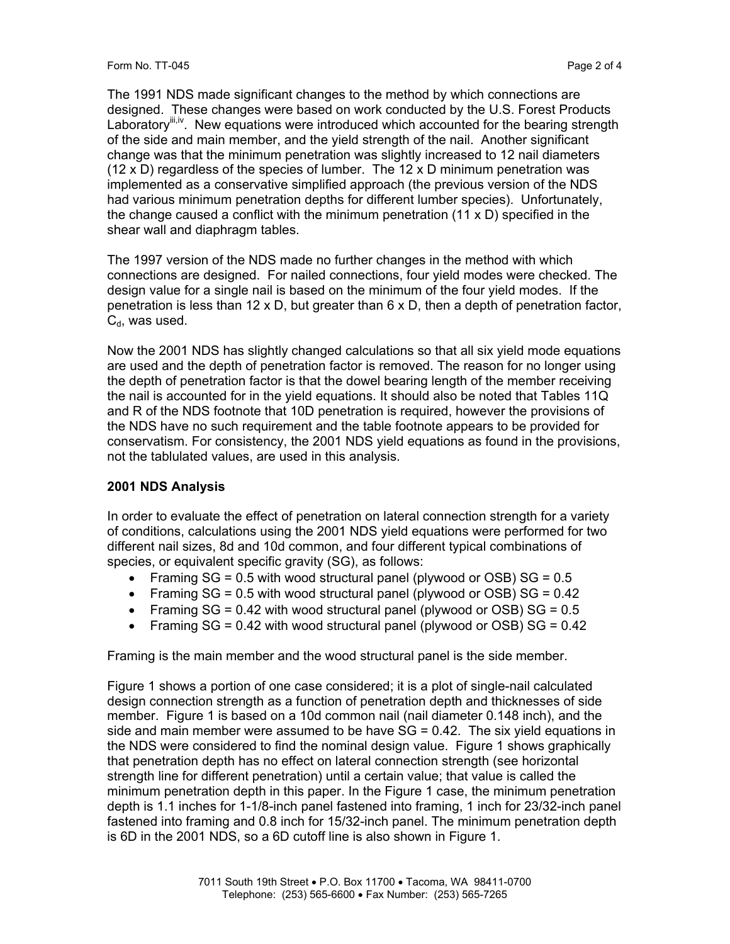Form No. TT-045 Page 2 of 4

The 1991 NDS made significant changes to the method by which connections are designed. These changes were based on work conducted by the U.S. Forest Products Laboratory iii,iv. New equations were introduced which accounted for the bearing strength of the side and main member, and the yield strength of the nail. Another significant change was that the minimum penetration was slightly increased to 12 nail diameters (12 x D) regardless of the species of lumber. The 12 x D minimum penetration was implemented as a conservative simplified approach (the previous version of the NDS had various minimum penetration depths for different lumber species). Unfortunately, the change caused a conflict with the minimum penetration  $(11 \times D)$  specified in the shear wall and diaphragm tables.

The 1997 version of the NDS made no further changes in the method with which connections are designed. For nailed connections, four yield modes were checked. The design value for a single nail is based on the minimum of the four yield modes. If the penetration is less than 12 x D, but greater than  $6 \times D$ , then a depth of penetration factor,  $C_d$ , was used.

Now the 2001 NDS has slightly changed calculations so that all six yield mode equations are used and the depth of penetration factor is removed. The reason for no longer using the depth of penetration factor is that the dowel bearing length of the member receiving the nail is accounted for in the yield equations. It should also be noted that Tables 11Q and R of the NDS footnote that 10D penetration is required, however the provisions of the NDS have no such requirement and the table footnote appears to be provided for conservatism. For consistency, the 2001 NDS yield equations as found in the provisions, not the tablulated values, are used in this analysis.

# **2001 NDS Analysis**

In order to evaluate the effect of penetration on lateral connection strength for a variety of conditions, calculations using the 2001 NDS yield equations were performed for two different nail sizes, 8d and 10d common, and four different typical combinations of species, or equivalent specific gravity (SG), as follows:

- Framing  $SG = 0.5$  with wood structural panel (plywood or OSB)  $SG = 0.5$
- Framing  $SG = 0.5$  with wood structural panel (plywood or OSB)  $SG = 0.42$
- Framing  $SG = 0.42$  with wood structural panel (plywood or OSB)  $SG = 0.5$
- Framing  $SG = 0.42$  with wood structural panel (plywood or OSB)  $SG = 0.42$

Framing is the main member and the wood structural panel is the side member.

Figure 1 shows a portion of one case considered; it is a plot of single-nail calculated design connection strength as a function of penetration depth and thicknesses of side member. Figure 1 is based on a 10d common nail (nail diameter 0.148 inch), and the side and main member were assumed to be have  $SG = 0.42$ . The six yield equations in the NDS were considered to find the nominal design value. Figure 1 shows graphically that penetration depth has no effect on lateral connection strength (see horizontal strength line for different penetration) until a certain value; that value is called the minimum penetration depth in this paper. In the Figure 1 case, the minimum penetration depth is 1.1 inches for 1-1/8-inch panel fastened into framing, 1 inch for 23/32-inch panel fastened into framing and 0.8 inch for 15/32-inch panel. The minimum penetration depth is 6D in the 2001 NDS, so a 6D cutoff line is also shown in Figure 1.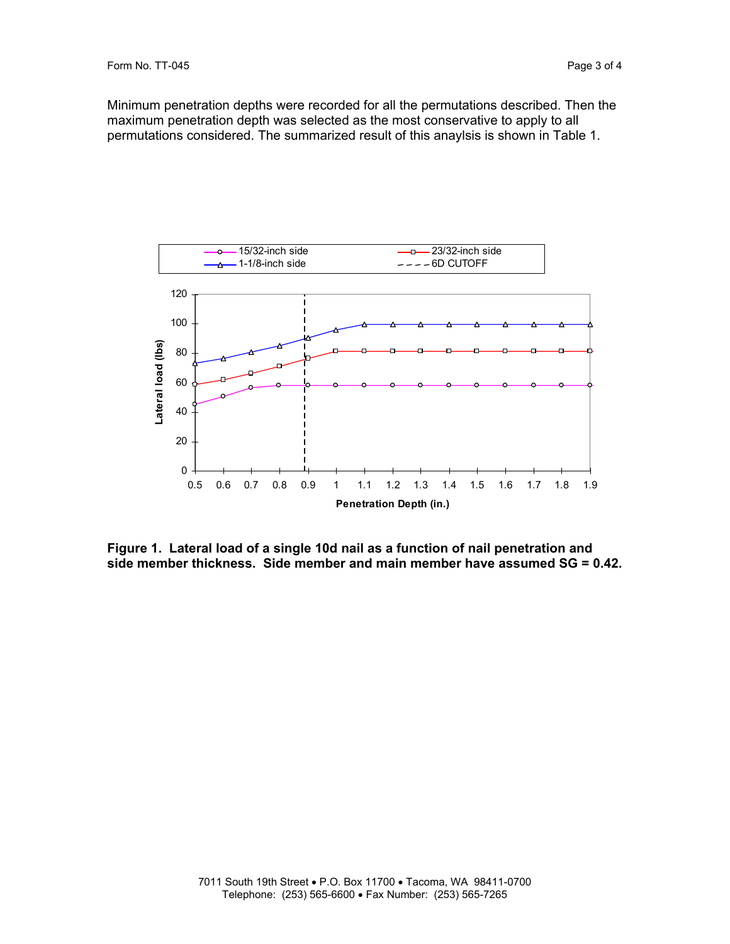Minimum penetration depths were recorded for all the permutations described. Then the maximum penetration depth was selected as the most conservative to apply to all permutations considered. The summarized result of this anaylsis is shown in Table 1.



**Figure 1. Lateral load of a single 10d nail as a function of nail penetration and side member thickness. Side member and main member have assumed SG = 0.42.**